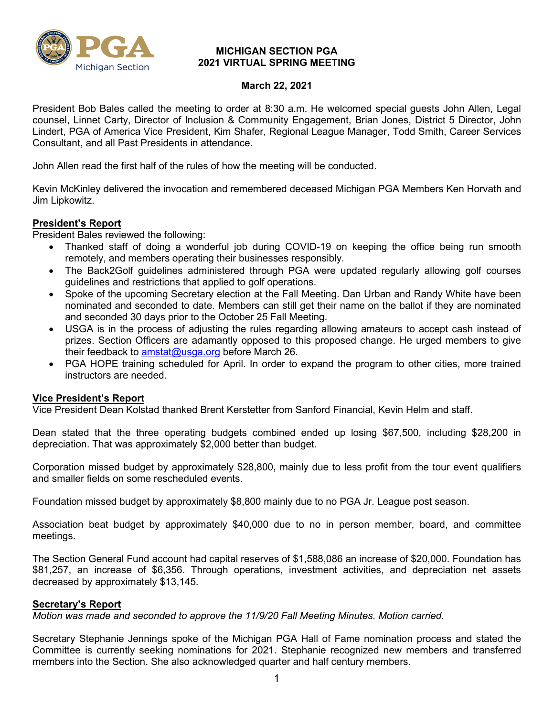

#### **MICHIGAN SECTION PGA 2021 VIRTUAL SPRING MEETING**

#### **March 22, 2021**

President Bob Bales called the meeting to order at 8:30 a.m. He welcomed special guests John Allen, Legal counsel, Linnet Carty, Director of Inclusion & Community Engagement, Brian Jones, District 5 Director, John Lindert, PGA of America Vice President, Kim Shafer, Regional League Manager, Todd Smith, Career Services Consultant, and all Past Presidents in attendance.

John Allen read the first half of the rules of how the meeting will be conducted.

Kevin McKinley delivered the invocation and remembered deceased Michigan PGA Members Ken Horvath and Jim Lipkowitz.

### **President's Report**

President Bales reviewed the following:

- Thanked staff of doing a wonderful job during COVID-19 on keeping the office being run smooth remotely, and members operating their businesses responsibly.
- The Back2Golf guidelines administered through PGA were updated regularly allowing golf courses guidelines and restrictions that applied to golf operations.
- Spoke of the upcoming Secretary election at the Fall Meeting. Dan Urban and Randy White have been nominated and seconded to date. Members can still get their name on the ballot if they are nominated and seconded 30 days prior to the October 25 Fall Meeting.
- USGA is in the process of adjusting the rules regarding allowing amateurs to accept cash instead of prizes. Section Officers are adamantly opposed to this proposed change. He urged members to give their feedback to [amstat@usga.org](mailto:amstat@usga.org) before March 26.
- PGA HOPE training scheduled for April. In order to expand the program to other cities, more trained instructors are needed.

### **Vice President's Report**

Vice President Dean Kolstad thanked Brent Kerstetter from Sanford Financial, Kevin Helm and staff.

Dean stated that the three operating budgets combined ended up losing \$67,500, including \$28,200 in depreciation. That was approximately \$2,000 better than budget.

Corporation missed budget by approximately \$28,800, mainly due to less profit from the tour event qualifiers and smaller fields on some rescheduled events.

Foundation missed budget by approximately \$8,800 mainly due to no PGA Jr. League post season.

Association beat budget by approximately \$40,000 due to no in person member, board, and committee meetings.

The Section General Fund account had capital reserves of \$1,588,086 an increase of \$20,000. Foundation has \$81,257, an increase of \$6,356. Through operations, investment activities, and depreciation net assets decreased by approximately \$13,145.

### **Secretary's Report**

*Motion was made and seconded to approve the 11/9/20 Fall Meeting Minutes. Motion carried.*

Secretary Stephanie Jennings spoke of the Michigan PGA Hall of Fame nomination process and stated the Committee is currently seeking nominations for 2021. Stephanie recognized new members and transferred members into the Section. She also acknowledged quarter and half century members.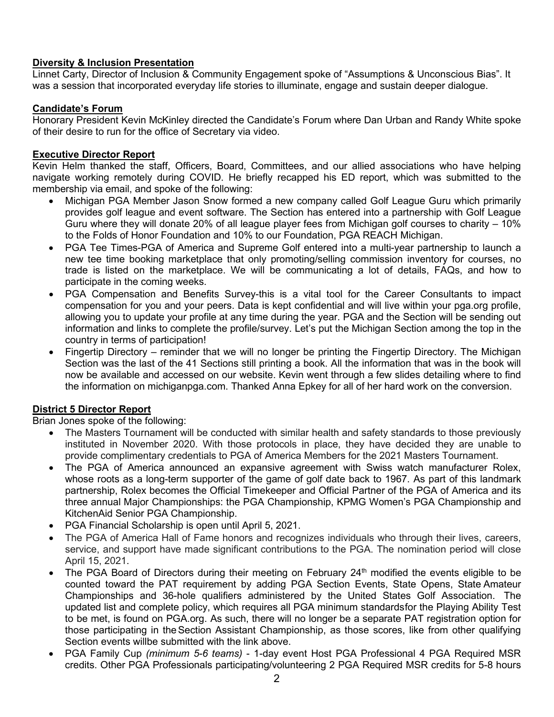# **Diversity & Inclusion Presentation**

Linnet Carty, Director of Inclusion & Community Engagement spoke of "Assumptions & Unconscious Bias". It was a session that incorporated everyday life stories to illuminate, engage and sustain deeper dialogue.

### **Candidate's Forum**

Honorary President Kevin McKinley directed the Candidate's Forum where Dan Urban and Randy White spoke of their desire to run for the office of Secretary via video.

#### **Executive Director Report**

Kevin Helm thanked the staff, Officers, Board, Committees, and our allied associations who have helping navigate working remotely during COVID. He briefly recapped his ED report, which was submitted to the membership via email, and spoke of the following:

- Michigan PGA Member Jason Snow formed a new company called Golf League Guru which primarily provides golf league and event software. The Section has entered into a partnership with Golf League Guru where they will donate 20% of all league player fees from Michigan golf courses to charity – 10% to the Folds of Honor Foundation and 10% to our Foundation, PGA REACH Michigan.
- PGA Tee Times-PGA of America and Supreme Golf entered into a multi-year partnership to launch a new tee time booking marketplace that only promoting/selling commission inventory for courses, no trade is listed on the marketplace. We will be communicating a lot of details, FAQs, and how to participate in the coming weeks.
- PGA Compensation and Benefits Survey-this is a vital tool for the Career Consultants to impact compensation for you and your peers. Data is kept confidential and will live within your pga.org profile, allowing you to update your profile at any time during the year. PGA and the Section will be sending out information and links to complete the profile/survey. Let's put the Michigan Section among the top in the country in terms of participation!
- Fingertip Directory reminder that we will no longer be printing the Fingertip Directory. The Michigan Section was the last of the 41 Sections still printing a book. All the information that was in the book will now be available and accessed on our website. Kevin went through a few slides detailing where to find the information on michiganpga.com. Thanked Anna Epkey for all of her hard work on the conversion.

### **District 5 Director Report**

Brian Jones spoke of the following:

- The Masters Tournament will be conducted with similar health and safety standards to those previously instituted in November 2020. With those protocols in place, they have decided they are unable to provide complimentary credentials to PGA of America Members for the 2021 Masters Tournament.
- The PGA of America announced an expansive agreement with Swiss watch manufacturer Rolex, whose roots as a long-term supporter of the game of golf date back to 1967. As part of this landmark partnership, Rolex becomes the Official Timekeeper and Official Partner of the PGA of America and its three annual Major Championships: the PGA Championship, KPMG Women's PGA Championship and KitchenAid Senior PGA Championship.
- PGA Financial Scholarship is open until April 5, 2021.
- The PGA of America Hall of Fame honors and recognizes individuals who through their lives, careers, service, and support have made significant contributions to the PGA. The nomination period will close April 15, 2021.
- The PGA Board of Directors during their meeting on February 24<sup>th</sup> modified the events eligible to be counted toward the PAT requirement by adding PGA Section Events, State Opens, State Amateur Championships and 36-hole qualifiers administered by the United States Golf Association. The updated list and complete policy, which requires all PGA minimum standardsfor the Playing Ability Test to be met, is found on PGA.org. As such, there will no longer be a separate PAT registration option for those participating in theSection Assistant Championship, as those scores, like from other qualifying Section events willbe submitted with the link above.
- PGA Family Cup *(minimum 5-6 teams)* 1-day event Host PGA Professional 4 PGA Required MSR credits. Other PGA Professionals participating/volunteering 2 PGA Required MSR credits for 5-8 hours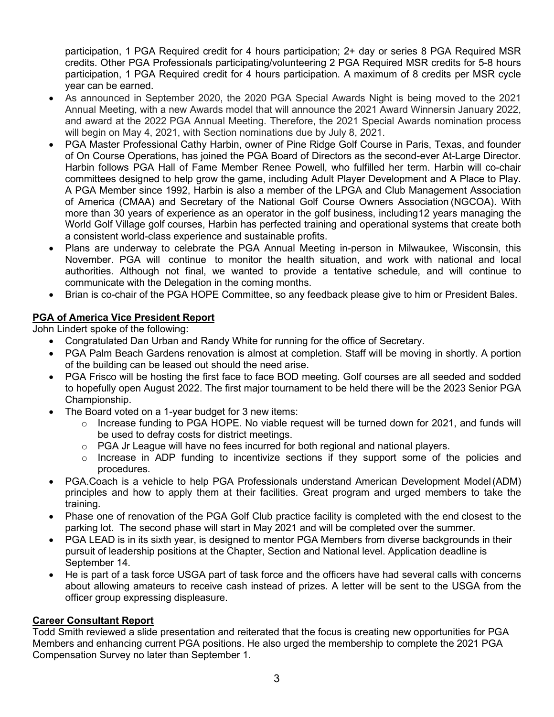participation, 1 PGA Required credit for 4 hours participation; 2+ day or series 8 PGA Required MSR credits. Other PGA Professionals participating/volunteering 2 PGA Required MSR credits for 5-8 hours participation, 1 PGA Required credit for 4 hours participation. A maximum of 8 credits per MSR cycle year can be earned.

- As announced in September 2020, the 2020 PGA Special Awards Night is being moved to the 2021 Annual Meeting, with a new Awards model that will announce the 2021 Award Winnersin January 2022, and award at the 2022 PGA Annual Meeting. Therefore, the 2021 Special Awards nomination process will begin on May 4, 2021, with Section nominations due by July 8, 2021.
- PGA Master Professional Cathy Harbin, owner of Pine Ridge Golf Course in Paris, Texas, and founder of On Course Operations, has joined the PGA Board of Directors as the second-ever At-Large Director. Harbin follows PGA Hall of Fame Member Renee Powell, who fulfilled her term. Harbin will co-chair committees designed to help grow the game, including Adult Player Development and A Place to Play. A PGA Member since 1992, Harbin is also a member of the LPGA and Club Management Association of America (CMAA) and Secretary of the National Golf Course Owners Association (NGCOA). With more than 30 years of experience as an operator in the golf business, including12 years managing the World Golf Village golf courses, Harbin has perfected training and operational systems that create both a consistent world-class experience and sustainable profits.
- Plans are underway to celebrate the PGA Annual Meeting in-person in Milwaukee, Wisconsin, this November. PGA will continue to monitor the health situation, and work with national and local authorities. Although not final, we wanted to provide a tentative schedule, and will continue to communicate with the Delegation in the coming months.
- Brian is co-chair of the PGA HOPE Committee, so any feedback please give to him or President Bales.

# **PGA of America Vice President Report**

John Lindert spoke of the following:

- Congratulated Dan Urban and Randy White for running for the office of Secretary.
- PGA Palm Beach Gardens renovation is almost at completion. Staff will be moving in shortly. A portion of the building can be leased out should the need arise.
- PGA Frisco will be hosting the first face to face BOD meeting. Golf courses are all seeded and sodded to hopefully open August 2022. The first major tournament to be held there will be the 2023 Senior PGA Championship.
- The Board voted on a 1-year budget for 3 new items:
	- o Increase funding to PGA HOPE. No viable request will be turned down for 2021, and funds will be used to defray costs for district meetings.
	- $\circ$  PGA Jr League will have no fees incurred for both regional and national players.
	- o Increase in ADP funding to incentivize sections if they support some of the policies and procedures.
- PGA.Coach is a vehicle to help PGA Professionals understand American Development Model(ADM) principles and how to apply them at their facilities. Great program and urged members to take the training.
- Phase one of renovation of the PGA Golf Club practice facility is completed with the end closest to the parking lot. The second phase will start in May 2021 and will be completed over the summer.
- PGA LEAD is in its sixth year, is designed to mentor PGA Members from diverse backgrounds in their pursuit of leadership positions at the Chapter, Section and National level. Application deadline is September 14.
- He is part of a task force USGA part of task force and the officers have had several calls with concerns about allowing amateurs to receive cash instead of prizes. A letter will be sent to the USGA from the officer group expressing displeasure.

# **Career Consultant Report**

Todd Smith reviewed a slide presentation and reiterated that the focus is creating new opportunities for PGA Members and enhancing current PGA positions. He also urged the membership to complete the 2021 PGA Compensation Survey no later than September 1.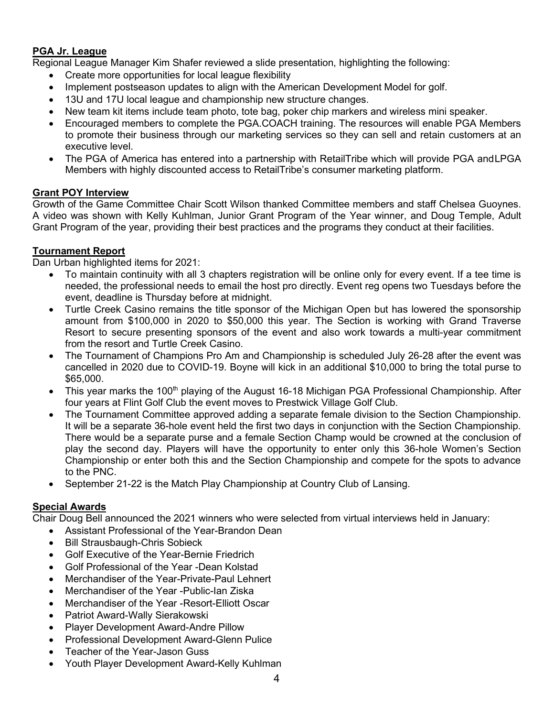## **PGA Jr. League**

Regional League Manager Kim Shafer reviewed a slide presentation, highlighting the following:

- Create more opportunities for local league flexibility
- Implement postseason updates to align with the American Development Model for golf.
- 13U and 17U local league and championship new structure changes.
- New team kit items include team photo, tote bag, poker chip markers and wireless mini speaker.
- Encouraged members to complete the PGA.COACH training. The resources will enable PGA Members to promote their business through our marketing services so they can sell and retain customers at an executive level.
- The PGA of America has entered into a partnership with RetailTribe which will provide PGA and LPGA Members with highly discounted access to RetailTribe's consumer marketing platform.

### **Grant POY Interview**

Growth of the Game Committee Chair Scott Wilson thanked Committee members and staff Chelsea Guoynes. A video was shown with Kelly Kuhlman, Junior Grant Program of the Year winner, and Doug Temple, Adult Grant Program of the year, providing their best practices and the programs they conduct at their facilities.

### **Tournament Report**

Dan Urban highlighted items for 2021:

- To maintain continuity with all 3 chapters registration will be online only for every event. If a tee time is needed, the professional needs to email the host pro directly. Event reg opens two Tuesdays before the event, deadline is Thursday before at midnight.
- Turtle Creek Casino remains the title sponsor of the Michigan Open but has lowered the sponsorship amount from \$100,000 in 2020 to \$50,000 this year. The Section is working with Grand Traverse Resort to secure presenting sponsors of the event and also work towards a multi-year commitment from the resort and Turtle Creek Casino.
- The Tournament of Champions Pro Am and Championship is scheduled July 26-28 after the event was cancelled in 2020 due to COVID-19. Boyne will kick in an additional \$10,000 to bring the total purse to \$65,000.
- This year marks the 100<sup>th</sup> playing of the August 16-18 Michigan PGA Professional Championship. After four years at Flint Golf Club the event moves to Prestwick Village Golf Club.
- The Tournament Committee approved adding a separate female division to the Section Championship. It will be a separate 36-hole event held the first two days in conjunction with the Section Championship. There would be a separate purse and a female Section Champ would be crowned at the conclusion of play the second day. Players will have the opportunity to enter only this 36-hole Women's Section Championship or enter both this and the Section Championship and compete for the spots to advance to the PNC.
- September 21-22 is the Match Play Championship at Country Club of Lansing.

# **Special Awards**

Chair Doug Bell announced the 2021 winners who were selected from virtual interviews held in January:

- Assistant Professional of the Year-Brandon Dean
- **Bill Strausbaugh-Chris Sobieck**
- Golf Executive of the Year-Bernie Friedrich
- Golf Professional of the Year -Dean Kolstad
- Merchandiser of the Year-Private-Paul Lehnert
- Merchandiser of the Year -Public-Ian Ziska
- Merchandiser of the Year -Resort-Elliott Oscar
- Patriot Award-Wally Sierakowski
- Player Development Award-Andre Pillow
- Professional Development Award-Glenn Pulice
- Teacher of the Year-Jason Guss
- Youth Player Development Award-Kelly Kuhlman